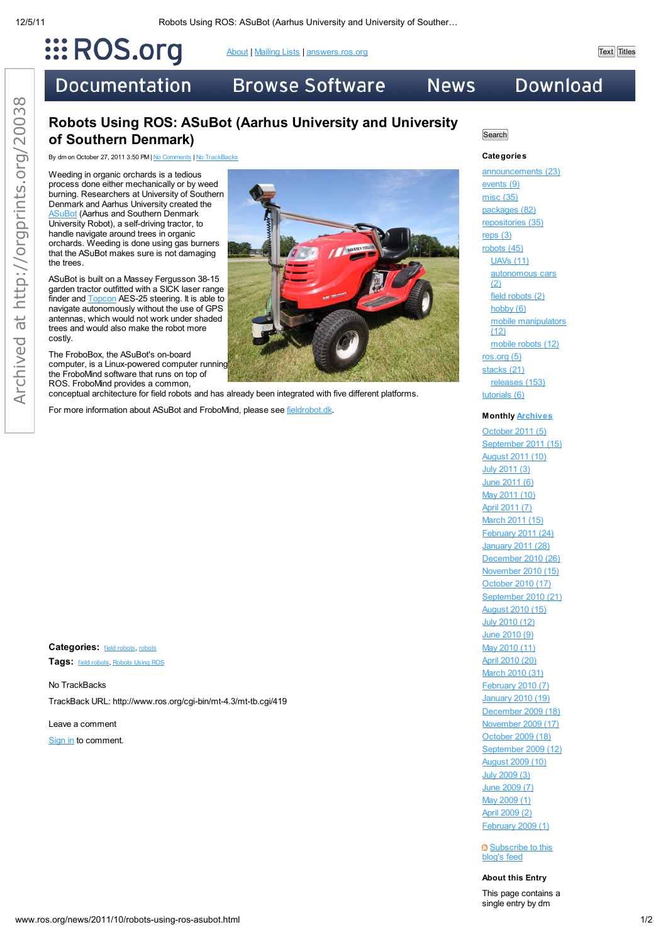# $\dddot{\mathbf{H}}$  ROS.org

About | Mailing Lists | answers.ros.org Text Titles

**Documentation** 

## **Browse Software**

## **Download**

### Robots Using ROS: ASuBot (Aarhus University and University of Southern Denmark)

By dm on October 27, 2011 3:50 PM | No Comments | No TrackBacks

Weeding in organic orchards is a tedious process done either mechanically or by weed burning. Researchers at University of Southern Denmark and Aarhus University created the **SuBot** (Aarhus and Southern Denmark University Robot), a self-driving tractor, to handle navigate around trees in organic orchards. Weeding is done using gas burners that the ASuBot makes sure is not damaging the trees.

ASuBot is built on a Massey Fergusson 38-15 garden tractor outfitted with a SICK laser range finder and **Topcon** AES-25 steering. It is able to navigate autonomously without the use of GPS antennas, which would not work under shaded trees and would also make the robot more costly.

The FroboBox, the ASuBot's on-board computer, is a Linux-powered computer running the FroboMind software that runs on top of ROS. FroboMind provides a common, conceptual architecture for field robots and has already been integrated with five different platforms.

For more information about ASuBot and FroboMind, please see fieldrobot.dk.

Categories: field robots, robots Tags: field robots, Robots Using ROS

No TrackBacks TrackBack URL: http://www.ros.org/cgi-bin/mt-4.3/mt-tb.cgi/419

Leave a comment Sign in to comment.



**Search** 

**News** 

#### **Categories**

announcements (23) events (9) misc (35) packages (82) repositories (35) reps (3) robots (45) UAVs (11) autonomous cars (2) field robots (2) hobby (6) mobile manipulators  $(12)$ mobile robots (12) ros.org (5) stacks (21) releases (153) tutorials (6)

#### **Monthly Archives**

October 2011 (5) September 2011 (15) August 2011 (10) July 2011 (3) June 2011 (6) May 2011 (10) April 2011 (7) March 2011 (15) February 2011 (24) January 2011 (28) December 2010 (26) November 2010 (15) October 2010 (17) September 2010 (21) August 2010 (15) July 2010 (12) June 2010 (9) May 2010 (11) April 2010 (20) March 2010 (31) February 2010 (7) January 2010 (19) December 2009 (18) November 2009 (17) October 2009 (18) September 2009 (12) August 2009 (10) July 2009 (3) June 2009 (7) May 2009 (1) April 2009 (2) February 2009 (1)

 $\blacksquare$  Subscribe to this blog's feed

#### **About this Entry**

This page contains a single entry by dm